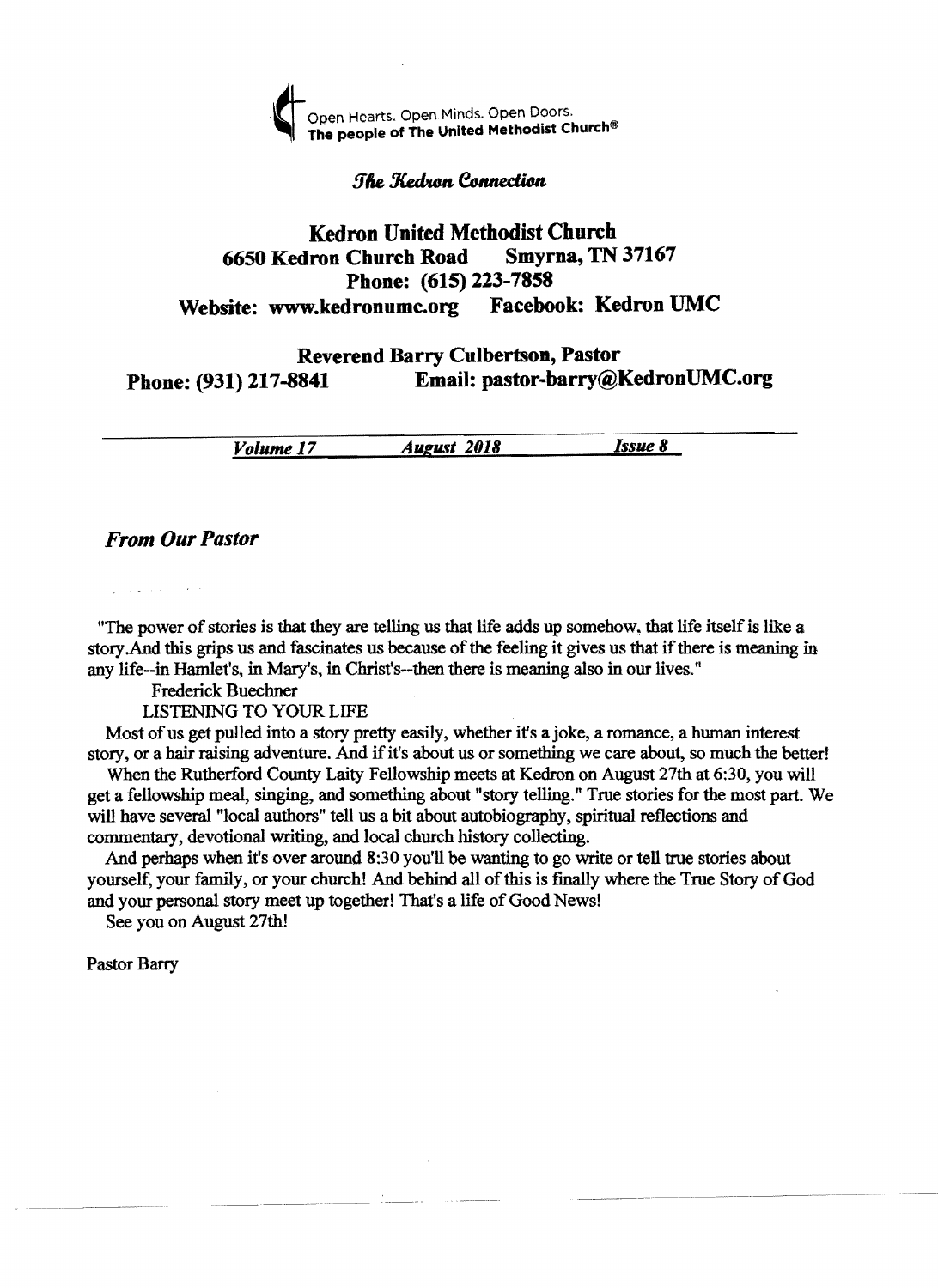

#### **The Kedran Connection**

## **Kedron United Methodist Church<br>Iron Church Road Smyrna, TN 37167** 6650 Kedron Church Road Phone: (615) 223-7858 Website: www.kedronumc.org Facebook: Kedron UMC

### Reverend Barry Culbertson, Pastor Phone: (931) 217-8841 Email: pastor-barry@KedronUMC.org

| Volume 17 | <b>August</b> 2018 | Issue 8 |
|-----------|--------------------|---------|
|           |                    |         |

#### *From Our Pastor*

"The power of stories is that they are telling us that life adds up somehow~ that life itself is like a story. And this grips us and fascinates us because of the feeling it gives us that if there is meaning in any life--in Hamlet's, in Mary's, in Christ's--then there is meaning also in our lives."

Frederick Buechner

LISTENING TO YOUR LIFE

Most of us get pulled into a story pretty easily, whether it's a joke, a romance, a human interest story, or a hair raising adventure. And if it's about us or something we care about, so much the better!

When the Rutherford County Laity Fellowship meets at Kedron on August 27th at 6:30, you will get a fellowship meal, singing, and something about "story telling." True stories for the most part. We will have several "local authors" tell us a bit about autobiography, spiritual reflections and commentary, devotional writing, and local church history collecting.

And perhaps when it's over around 8:30 you'll be wanting to go write or tell true stories about yourself, your family, or your church! And behind all of this is finally where the True Story of God and your personal story meet up together! That's a life of Good News!

See you on August 27th!

Pastor Barry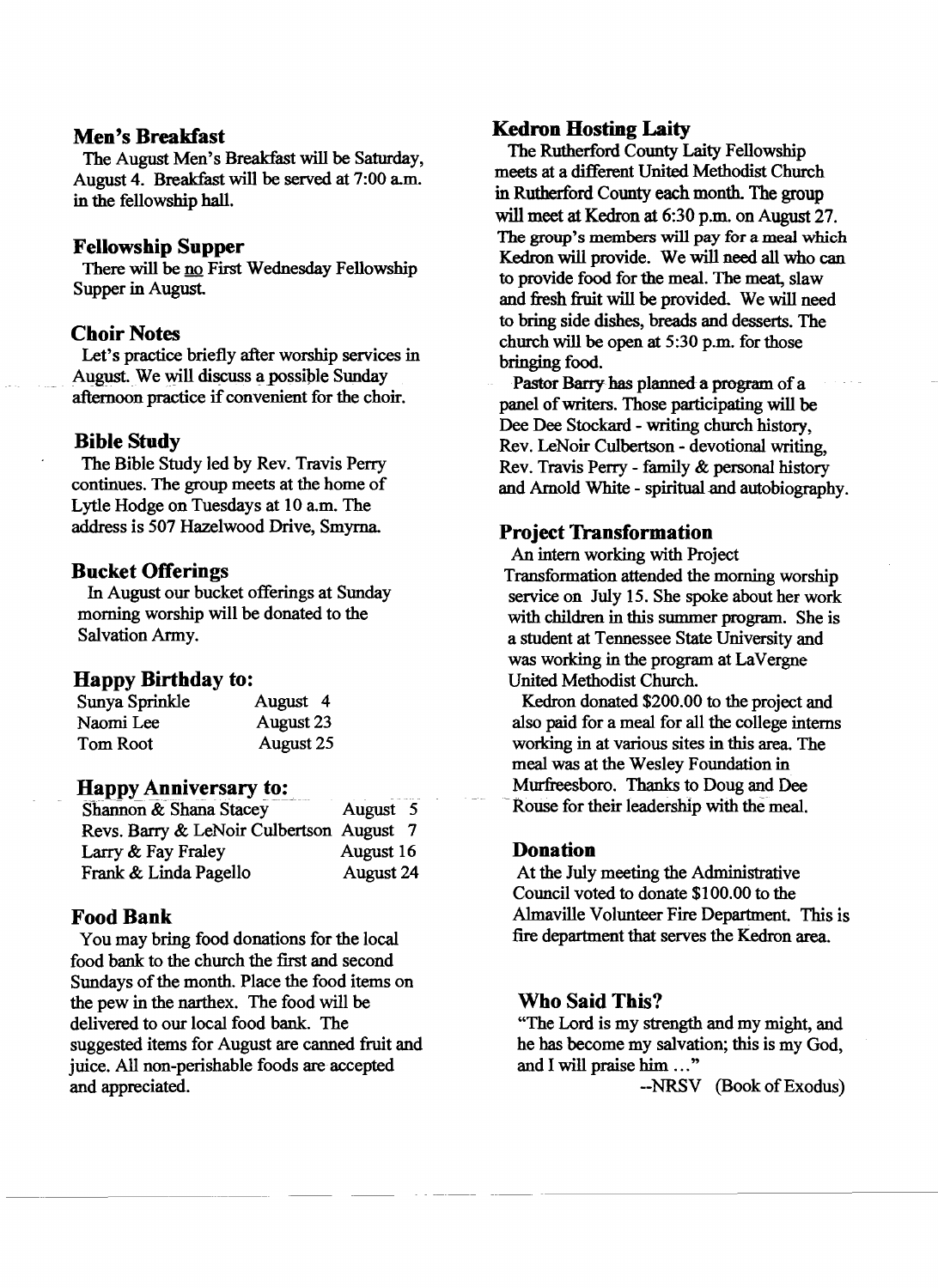#### Men's Breakfast

The August Men's Breakfast will be Saturday, August 4. Breakfast will be served at 7:00 am. in the fellowship hall.

#### Fellowship Supper

There will be no First Wednesday Fellowship Supper in August

#### Choir Notes

Let's practice briefly after worship services in August. We will discuss a possible Sunday afternoon practice if convenient for the choir.

#### Bible Study

The Bible Study led by Rev. Travis Perry continues. The group meets at the home of Lytle Hodge on Tuesdays at 10 a.m. The address is 507 Hazelwood Drive, Smyrna

#### Bucket Offerings

In August our bucket offerings at Sunday morning worship will be donated to the Salvation Army.

#### Happy Birthday to:

| Sunya Sprinkle | August 4  |
|----------------|-----------|
| Naomi Lee      | August 23 |
| Tom Root       | August 25 |

#### Happy Anniversary to:

| Shannon & Shana Stacey                   | August 5  |
|------------------------------------------|-----------|
| Revs. Barry & LeNoir Culbertson August 7 |           |
| Larry & Fay Fraley                       | August 16 |
| Frank & Linda Pagello                    | August 24 |

#### Food Bank

You may bring food donations for the local food bank to the church the first and second Sundays of the month. Place the food items on the pew in the narthex. The food will be delivered to our local food bank. The suggested items for August are canned fruit and juice. All non-perishable foods are accepted and appreciated.

#### Kedron Hosting Laity

The Rutherford County Laity Fellowship meets at a different United Methodist Church in Rutherford County each month. The group will meet at Kedron at 6:30 p.m. on August 27. The group's members will pay for a meal which Kedron will provide. We will need all who can to provide food for the meal. The meat, slaw and fresh fruit will be provided. We will need to bring side dishes, breads and desserts. The church will be open at 5:30 p.m. for those bringing food.

Pastor Barry has planned a program of a panel of writers. Those participating will be Dee Dee Stockard - writing church history, Rev. LeNoir Culbertson - devotional writing, Rev. Travis Perry - family & personal history and Arnold White - spiritual and autobiography.

#### Project Transformation

An intern working with Project Transformation attended the morning worship service on July 15. She spoke about her work with children in this summer program. She is a student at Tennessee State University and was working in the program at LaVergne United Methodist Church.

Kedron donated \$200.00 to the project and also paid for a meal for all the college interns working in at various sites in this area. The meal was at the Wesley Foundation in Murfreesboro. Thanks to Doug and Dee Rouse for their leadership with the meal.

#### Donation

At the July meeting the Administrative Council voted to donate \$100.00 to the Almaville Volunteer Fire Department. This is fire department that serves the Kedron area.

#### Who Said This?

"The Lord is my strength and my might, and he has become my salvation; this is my God, and I will praise him ..."

--NRSV (Book of Exodus)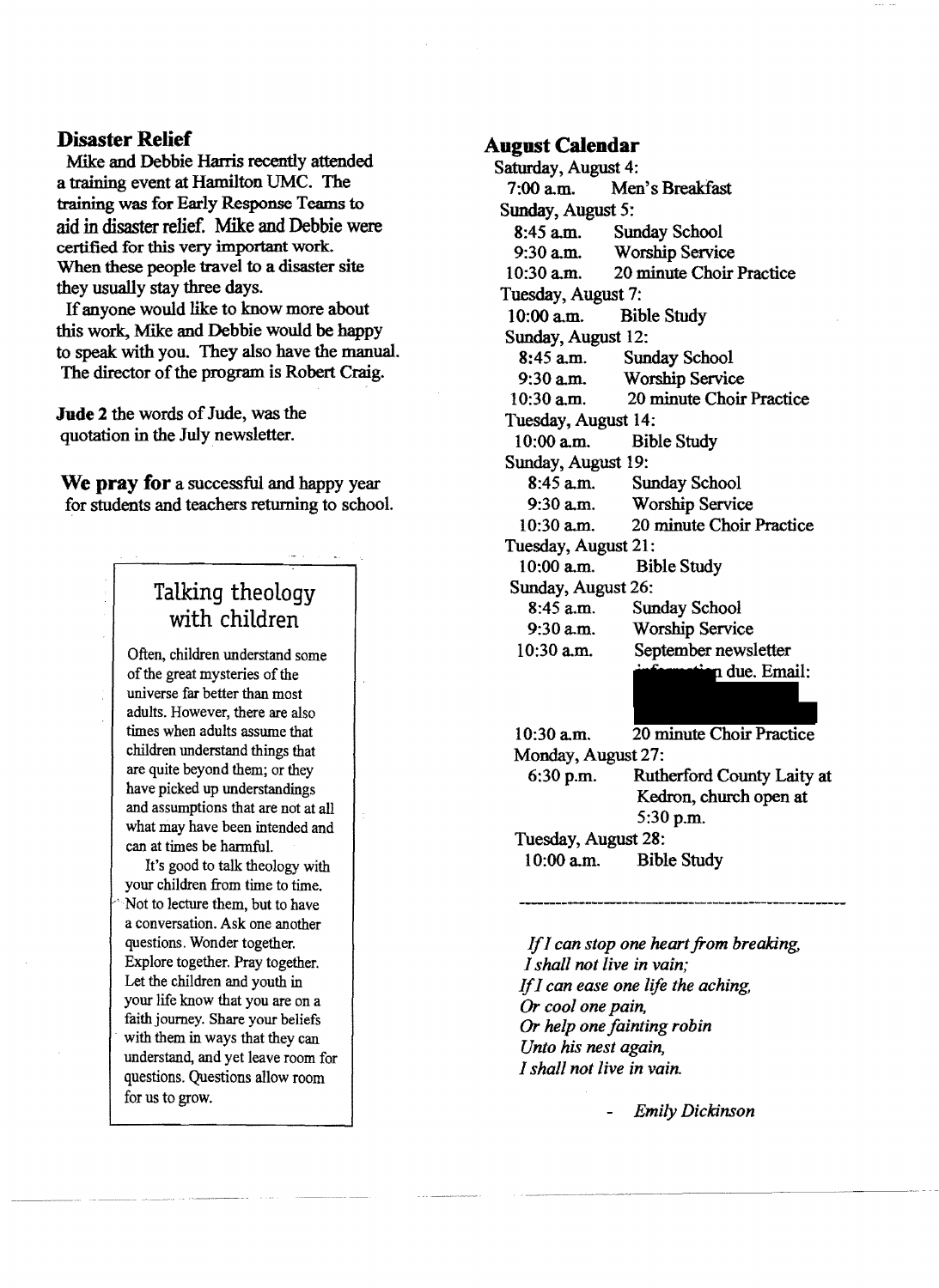#### **Disaster Relief**

Mike and Debbie Harris recently attended a training event at Hamilton UMC. The training was for Early Response Teams to aid in disaster relief. Mike and Debbie were certified for this very important work. When these people travel to a disaster site they usually stay three days.

If anyone would like to know more about this work, Mike and Debbie would be happy to speak with you. They also have the manual. The director of the program is Robert Craig.

**Jude 2** the words of Jude, was the quotation in the July newsletter.

**We pray for** a successful and happy year for students and teachers returning to school.

# Talking theology with children

Often, children understand some of the great mysteries of the universe far better than most adults. However, there are also times when adults assume that children understand things that are quite beyond them; or they have picked up understandings and assumptions that are not at all what may have been intended and can at times be harmful.

It's good to talk theology with your children from time to time. -'Not to lecture them, but to have a conversation. Ask one another questions. Wonder together. Explore together. Pray together. Let the children and youth in your life know that you are on a faith journey. Share your beliefs with them in ways that they can understand, and yet leave room for questions. Questions allow room for us to grow.

#### **August Calendar**

Saturday, August 4:<br>7:00 a.m. Mer Men's Breakfast Sunday, August 5: 8:45 a.m. Sunday School<br>9:30 a.m. Worship Servic Worship Service 10:30 a.m. 20 minute Choir Practice Tuesday, August 7: 10:00 a.m. Bible Study Sunday, August 12: 8:45 a.m. Sunday School 9:30 a.m. Worship Service<br>10:30 a.m. 20 minute Choir 20 minute Choir Practice Tuesday, August 14: 10:00 a.m. Bible Study Sunday, August 19: 8:45 a.m. Sunday School 9:30 a.m. Worship Service 10:30 a.m. 20 minute Choir Practice Tuesday, August 21: 10:00 a.m. Bible Study Sunday, August 26: 8:45 a.m. Sunday School 9:30 a.m. Worship Service 10:30 a.m. September newsletter due. Email: 10:30 a.m. 20 minute Choir Practice Monday, August 27: 6:30 p.m. Rutherford County Laity at Kedron, church open at 5:30 p.m. Tuesday, August 28:

10:00 a.m. Bible Study

*IfI can stop one heart from breaking, I shall not live in vain; IfI can ease one life the aching, Or cool one pain, Or help one fainting robin Unto his nest again, I shall not live in vain.* 

*- Emily Dickinson* 

. aren'ny av du buonana pa aristra ara-dubuona ara-dubu ara-dubu ara-dubu aren'ny ara-duburanjarahasin'ilay ar<br>'